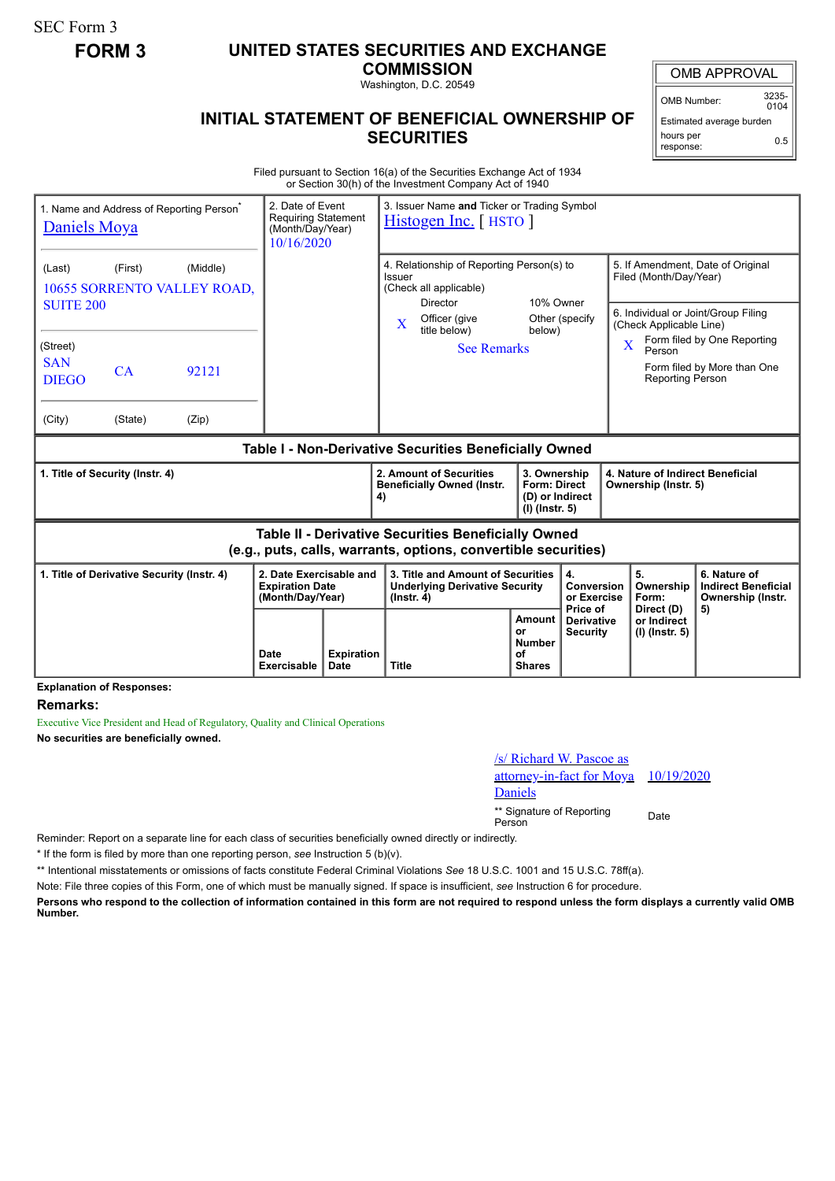SEC Form 3

## **FORM 3 UNITED STATES SECURITIES AND EXCHANGE**

**COMMISSION**

Washington, D.C. 20549

## **INITIAL STATEMENT OF BENEFICIAL OWNERSHIP OF SECURITIES**

OMB APPROVAL

OMB Number: 3235-  $0104$ 

Estimated average burden hours per response: 0.5

Filed pursuant to Section 16(a) of the Securities Exchange Act of 1934 or Section 30(h) of the Investment Company Act of 1940

| 1. Name and Address of Reporting Person <sup>®</sup><br>Daniels Moya |         |                                         | 3. Issuer Name and Ticker or Trading Symbol<br>2. Date of Event<br><b>Requiring Statement</b><br>Histogen Inc. [HSTO ]<br>(Month/Day/Year)<br>10/16/2020 |  |                                                                                                                              |                                                                            |                                             |                                                                                                                                                                                              |                                                                       |  |
|----------------------------------------------------------------------|---------|-----------------------------------------|----------------------------------------------------------------------------------------------------------------------------------------------------------|--|------------------------------------------------------------------------------------------------------------------------------|----------------------------------------------------------------------------|---------------------------------------------|----------------------------------------------------------------------------------------------------------------------------------------------------------------------------------------------|-----------------------------------------------------------------------|--|
| (Last)<br><b>SUITE 200</b>                                           | (First) | (Middle)<br>10655 SORRENTO VALLEY ROAD, |                                                                                                                                                          |  | 4. Relationship of Reporting Person(s) to<br>Issuer<br>(Check all applicable)<br>Director                                    | 10% Owner                                                                  |                                             | 5. If Amendment, Date of Original<br>Filed (Month/Day/Year)                                                                                                                                  |                                                                       |  |
| (Street)<br><b>SAN</b><br><b>DIEGO</b>                               | CA      | 92121                                   |                                                                                                                                                          |  | Officer (give<br>X<br>title below)<br><b>See Remarks</b>                                                                     | below)                                                                     | Other (specify                              | 6. Individual or Joint/Group Filing<br>(Check Applicable Line)<br>Form filed by One Reporting<br>$\overline{\mathbf{X}}$<br>Person<br>Form filed by More than One<br><b>Reporting Person</b> |                                                                       |  |
| (City)                                                               | (State) | (Zip)                                   |                                                                                                                                                          |  |                                                                                                                              |                                                                            |                                             |                                                                                                                                                                                              |                                                                       |  |
| Table I - Non-Derivative Securities Beneficially Owned               |         |                                         |                                                                                                                                                          |  |                                                                                                                              |                                                                            |                                             |                                                                                                                                                                                              |                                                                       |  |
| 1. Title of Security (Instr. 4)                                      |         |                                         |                                                                                                                                                          |  |                                                                                                                              | 3. Ownership<br><b>Form: Direct</b><br>(D) or Indirect<br>$(I)$ (lnstr. 5) |                                             | 4. Nature of Indirect Beneficial<br>Ownership (Instr. 5)                                                                                                                                     |                                                                       |  |
|                                                                      |         |                                         |                                                                                                                                                          |  | 2. Amount of Securities<br><b>Beneficially Owned (Instr.</b><br>4)                                                           |                                                                            |                                             |                                                                                                                                                                                              |                                                                       |  |
|                                                                      |         |                                         |                                                                                                                                                          |  | <b>Table II - Derivative Securities Beneficially Owned</b><br>(e.g., puts, calls, warrants, options, convertible securities) |                                                                            |                                             |                                                                                                                                                                                              |                                                                       |  |
| 1. Title of Derivative Security (Instr. 4)                           |         |                                         | 2. Date Exercisable and<br><b>Expiration Date</b><br>(Month/Day/Year)                                                                                    |  | 3. Title and Amount of Securities<br><b>Underlying Derivative Security</b><br>$($ lnstr. 4 $)$                               |                                                                            | 4.<br>Conversion<br>or Exercise<br>Price of | 5.<br>Ownership<br>Form:<br>Direct (D)                                                                                                                                                       | 6. Nature of<br><b>Indirect Beneficial</b><br>Ownership (Instr.<br>5) |  |

**Explanation of Responses:**

**Remarks:**

Executive Vice President and Head of Regulatory, Quality and Clinical Operations **No securities are beneficially owned.**

| /s/ Richard W. Pascoe as             |      |
|--------------------------------------|------|
| attorney-in-fact for Moya 10/19/2020 |      |
| Daniels                              |      |
| ** Signature of Reporting            | Doto |

\*\* Signature of Reporting Signature of Reporting<br>Person

Reminder: Report on a separate line for each class of securities beneficially owned directly or indirectly.

\* If the form is filed by more than one reporting person, *see* Instruction 5 (b)(v).

\*\* Intentional misstatements or omissions of facts constitute Federal Criminal Violations *See* 18 U.S.C. 1001 and 15 U.S.C. 78ff(a).

Note: File three copies of this Form, one of which must be manually signed. If space is insufficient, *see* Instruction 6 for procedure.

**Persons who respond to the collection of information contained in this form are not required to respond unless the form displays a currently valid OMB Number.**